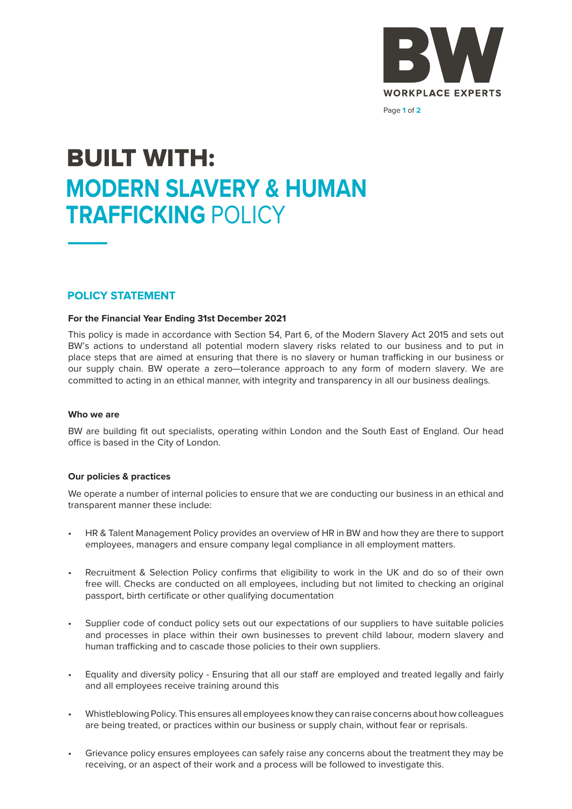

Page **1** of **2**

# **BUILT WITH: MODERN SLAVERY & HUMAN TRAFFICKING** POLICY

### **POLICY STATEMENT**

#### **For the Financial Year Ending 31st December 2021**

This policy is made in accordance with Section 54, Part 6, of the Modern Slavery Act 2015 and sets out BW's actions to understand all potential modern slavery risks related to our business and to put in place steps that are aimed at ensuring that there is no slavery or human trafficking in our business or our supply chain. BW operate a zero—tolerance approach to any form of modern slavery. We are committed to acting in an ethical manner, with integrity and transparency in all our business dealings.

#### **Who we are**

BW are building fit out specialists, operating within London and the South East of England. Our head office is based in the City of London.

#### **Our policies & practices**

We operate a number of internal policies to ensure that we are conducting our business in an ethical and transparent manner these include:

- HR & Talent Management Policy provides an overview of HR in BW and how they are there to support employees, managers and ensure company legal compliance in all employment matters.
- Recruitment & Selection Policy confirms that eligibility to work in the UK and do so of their own free will. Checks are conducted on all employees, including but not limited to checking an original passport, birth certificate or other qualifying documentation
- Supplier code of conduct policy sets out our expectations of our suppliers to have suitable policies and processes in place within their own businesses to prevent child labour, modern slavery and human trafficking and to cascade those policies to their own suppliers.
- Equality and diversity policy Ensuring that all our staff are employed and treated legally and fairly and all employees receive training around this
- Whistleblowing Policy. This ensures all employees know they can raise concerns about how colleagues are being treated, or practices within our business or supply chain, without fear or reprisals.
- Grievance policy ensures employees can safely raise any concerns about the treatment they may be receiving, or an aspect of their work and a process will be followed to investigate this.